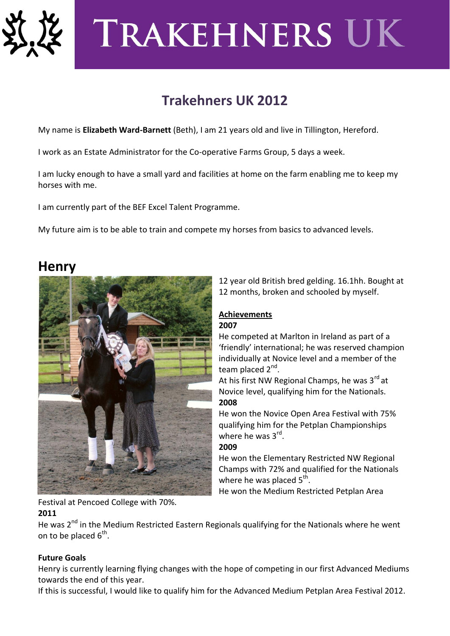

# **TRAKEHNERS UK**

# **Trakehners UK 2012**

My name is **Elizabeth Ward-Barnett** (Beth), I am 21 years old and live in Tillington, Hereford.

I work as an Estate Administrator for the Co-operative Farms Group, 5 days a week.

I am lucky enough to have a small yard and facilities at home on the farm enabling me to keep my horses with me.

I am currently part of the BEF Excel Talent Programme.

My future aim is to be able to train and compete my horses from basics to advanced levels.

## **Henry**



12 year old British bred gelding. 16.1hh. Bought at 12 months, broken and schooled by myself.

#### **Achievements 2007**

## He competed at Marlton in Ireland as part of a 'friendly' international; he was reserved champion individually at Novice level and a member of the team placed 2<sup>nd</sup>.

At his first NW Regional Champs, he was  $3<sup>rd</sup>$  at Novice level, qualifying him for the Nationals. **2008**

He won the Novice Open Area Festival with 75% qualifying him for the Petplan Championships where he was 3<sup>rd</sup>. **2009**

He won the Elementary Restricted NW Regional Champs with 72% and qualified for the Nationals where he was placed  $5^{\text{th}}$ .

He won the Medium Restricted Petplan Area

Festival at Pencoed College with 70%.

### **2011**

He was 2<sup>nd</sup> in the Medium Restricted Eastern Regionals qualifying for the Nationals where he went on to be placed  $6^{\text{th}}$ .

## **Future Goals**

Henry is currently learning flying changes with the hope of competing in our first Advanced Mediums towards the end of this year.

If this is successful, I would like to qualify him for the Advanced Medium Petplan Area Festival 2012.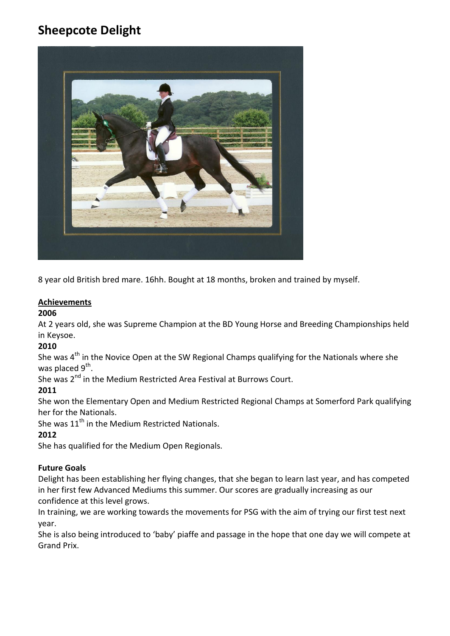# **Sheepcote Delight**



8 year old British bred mare. 16hh. Bought at 18 months, broken and trained by myself.

#### **Achievements**

#### **2006**

At 2 years old, she was Supreme Champion at the BD Young Horse and Breeding Championships held in Keysoe.

#### **2010**

She was  $4<sup>th</sup>$  in the Novice Open at the SW Regional Champs qualifying for the Nationals where she was placed 9<sup>th</sup>.

She was 2<sup>nd</sup> in the Medium Restricted Area Festival at Burrows Court.

#### **2011**

She won the Elementary Open and Medium Restricted Regional Champs at Somerford Park qualifying her for the Nationals.

She was 11<sup>th</sup> in the Medium Restricted Nationals.

#### **2012**

She has qualified for the Medium Open Regionals.

#### **Future Goals**

Delight has been establishing her flying changes, that she began to learn last year, and has competed in her first few Advanced Mediums this summer. Our scores are gradually increasing as our confidence at this level grows.

In training, we are working towards the movements for PSG with the aim of trying our first test next year.

She is also being introduced to 'baby' piaffe and passage in the hope that one day we will compete at Grand Prix.